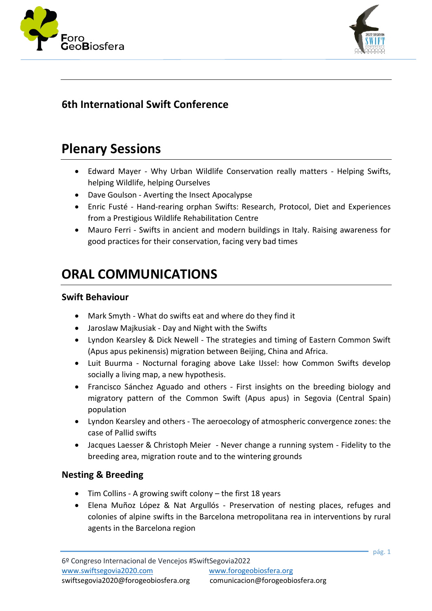



# **6th International Swift Conference**

# **Plenary Sessions**

- Edward Mayer Why Urban Wildlife Conservation really matters Helping Swifts, helping Wildlife, helping Ourselves
- Dave Goulson Averting the Insect Apocalypse
- Enric Fusté Hand-rearing orphan Swifts: Research, Protocol, Diet and Experiences from a Prestigious Wildlife Rehabilitation Centre
- Mauro Ferri Swifts in ancient and modern buildings in Italy. Raising awareness for good practices for their conservation, facing very bad times

# **ORAL COMMUNICATIONS**

#### **Swift Behaviour**

- Mark Smyth What do swifts eat and where do they find it
- Jaroslaw Majkusiak Day and Night with the Swifts
- Lyndon Kearsley & Dick Newell The strategies and timing of Eastern Common Swift (Apus apus pekinensis) migration between Beijing, China and Africa.
- Luit Buurma Nocturnal foraging above Lake IJssel: how Common Swifts develop socially a living map, a new hypothesis.
- Francisco Sánchez Aguado and others First insights on the breeding biology and migratory pattern of the Common Swift (Apus apus) in Segovia (Central Spain) population
- Lyndon Kearsley and others The aeroecology of atmospheric convergence zones: the case of Pallid swifts
- Jacques Laesser & Christoph Meier Never change a running system Fidelity to the breeding area, migration route and to the wintering grounds

## **Nesting & Breeding**

- Tim Collins A growing swift colony the first 18 years
- Elena Muñoz López & Nat Argullós Preservation of nesting places, refuges and colonies of alpine swifts in the Barcelona metropolitana rea in interventions by rural agents in the Barcelona region

pág. 1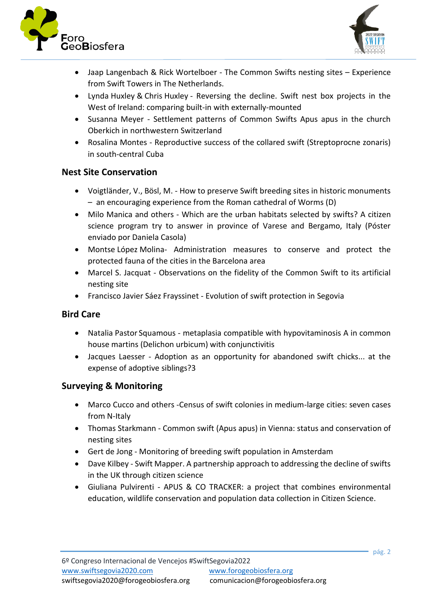



- Jaap Langenbach & Rick Wortelboer The Common Swifts nesting sites Experience from Swift Towers in The Netherlands.
- Lynda Huxley & Chris Huxley Reversing the decline. Swift nest box projects in the West of Ireland: comparing built-in with externally-mounted
- Susanna Meyer Settlement patterns of Common Swifts Apus apus in the church Oberkich in northwestern Switzerland
- Rosalina Montes Reproductive success of the collared swift (Streptoprocne zonaris) in south-central Cuba

#### **Nest Site Conservation**

- Voigtländer, V., Bösl, M. How to preserve Swift breeding sites in historic monuments – an encouraging experience from the Roman cathedral of Worms (D)
- Milo Manica and others Which are the urban habitats selected by swifts? A citizen science program try to answer in province of Varese and Bergamo, Italy (Póster enviado por Daniela Casola)
- Montse López Molina- Administration measures to conserve and protect the protected fauna of the cities in the Barcelona area
- Marcel S. Jacquat Observations on the fidelity of the Common Swift to its artificial nesting site
- Francisco Javier Sáez Frayssinet Evolution of swift protection in Segovia

#### **Bird Care**

- Natalia Pastor Squamous metaplasia compatible with hypovitaminosis A in common house martins (Delichon urbicum) with conjunctivitis
- Jacques Laesser Adoption as an opportunity for abandoned swift chicks... at the expense of adoptive siblings?3

#### **Surveying & Monitoring**

- Marco Cucco and others -Census of swift colonies in medium-large cities: seven cases from N-Italy
- Thomas Starkmann Common swift (Apus apus) in Vienna: status and conservation of nesting sites
- Gert de Jong Monitoring of breeding swift population in Amsterdam
- Dave Kilbey Swift Mapper. A partnership approach to addressing the decline of swifts in the UK through citizen science
- Giuliana Pulvirenti APUS & CO TRACKER: a project that combines environmental education, wildlife conservation and population data collection in Citizen Science.